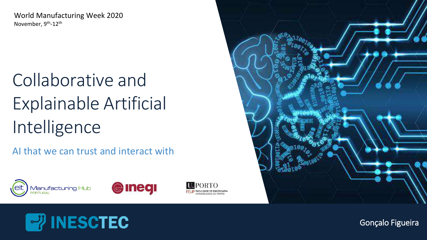World Manufacturing Week 2020 November, 9<sup>th</sup>-12<sup>th</sup>

# Collaborative and Explainable Artificial Intelligence

AI that we can trust and interact with











Gonçalo Figueira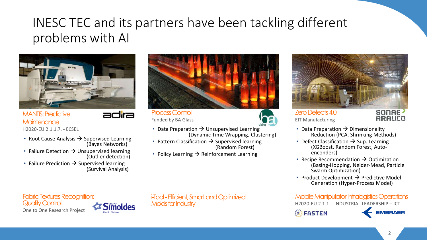### INESC TEC and its partners have been tackling different problems with AI



MANTIS: Predictive **Maintenance** H2020-EU.2.1.1.7. - ECSEL



- Root Cause Analysis  $\rightarrow$  Supervised Learning (Bayes Networks)
- Failure Detection  $\rightarrow$  Unsupervised learning (Outlier detection)
- Failure Prediction  $\rightarrow$  Supervised learning (Survival Analysis)



Process Control Funded by BA Glass



- Data Preparation  $\rightarrow$  Unsupervised Learning (Dynamic Time Wrapping, Clustering)
- Pattern Classification  $\rightarrow$  Supervised learning (Random Forest)
- Policy Learning  $\rightarrow$  Reinforcement Learning



#### Zero Defects 4.0 EIT Manufacturing

**SONAE ARAUCO** 

- Data Preparation  $\rightarrow$  Dimensionality Reduction (PCA, Shrinking Methods)
- Defect Classification  $\rightarrow$  Sup. Learning (XGBoost, Random Forest, Autoenconders)
- Recipe Recommendation  $\rightarrow$  Optimization (Basing-Hopping, Nelder-Mead, Particle Swarm Optimization)
- Product Development  $\rightarrow$  Predictive Model Generation (Hyper-Process Model)

#### Mobile Manipulator Intralogistics Operations

H2020-EU.2.1.1. - INDUSTRIAL LEADERSHIP – ICT

**& FASTEN** 



Fabric Textures Recognition: Quality Control One to One Research Project



i-Tool -Efficient, Smart and Optimized Molds for Industry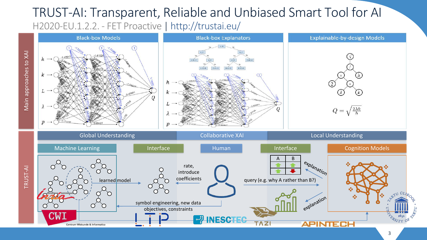### TRUST-AI: Transparent, Reliable and Unbiased Smart Tool for AI H2020-EU.1.2.2. - FET Proactive | http://trustai.eu/